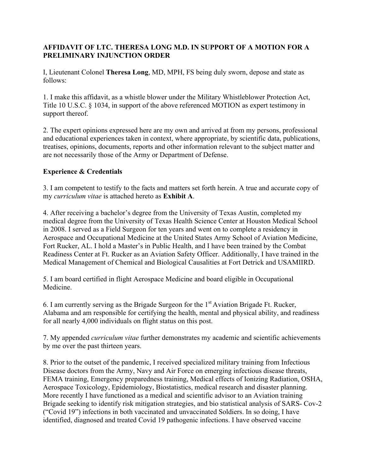# **AFFIDAVIT OF LTC. THERESA LONG M.D. IN SUPPORT OF A MOTION FOR A PRELIMINARY INJUNCTION ORDER**

I, Lieutenant Colonel **Theresa Long**, MD, MPH, FS being duly sworn, depose and state as follows:

1. I make this affidavit, as a whistle blower under the Military Whistleblower Protection Act, Title 10 U.S.C. § 1034, in support of the above referenced MOTION as expert testimony in support thereof.

2. The expert opinions expressed here are my own and arrived at from my persons, professional and educational experiences taken in context, where appropriate, by scientific data, publications, treatises, opinions, documents, reports and other information relevant to the subject matter and are not necessarily those of the Army or Department of Defense.

# **Experience & Credentials**

3. I am competent to testify to the facts and matters set forth herein. A true and accurate copy of my *curriculum vitae* is attached hereto as **Exhibit A**.

4. After receiving a bachelor's degree from the University of Texas Austin, completed my medical degree from the University of Texas Health Science Center at Houston Medical School in 2008. I served as a Field Surgeon for ten years and went on to complete a residency in Aerospace and Occupational Medicine at the United States Army School of Aviation Medicine, Fort Rucker, AL. I hold a Master's in Public Health, and I have been trained by the Combat Readiness Center at Ft. Rucker as an Aviation Safety Officer. Additionally, I have trained in the Medical Management of Chemical and Biological Causalities at Fort Detrick and USAMIIRD.

5. I am board certified in flight Aerospace Medicine and board eligible in Occupational Medicine.

6. I am currently serving as the Brigade Surgeon for the  $1<sup>st</sup> Aviation Brigade Ft. Rucker,$ Alabama and am responsible for certifying the health, mental and physical ability, and readiness for all nearly 4,000 individuals on flight status on this post.

7. My appended *curriculum vitae* further demonstrates my academic and scientific achievements by me over the past thirteen years.

8. Prior to the outset of the pandemic, I received specialized military training from Infectious Disease doctors from the Army, Navy and Air Force on emerging infectious disease threats, FEMA training, Emergency preparedness training, Medical effects of Ionizing Radiation, OSHA, Aerospace Toxicology, Epidemiology, Biostatistics, medical research and disaster planning. More recently I have functioned as a medical and scientific advisor to an Aviation training Brigade seeking to identify risk mitigation strategies, and bio statistical analysis of SARS- Cov-2 ("Covid 19") infections in both vaccinated and unvaccinated Soldiers. In so doing, I have identified, diagnosed and treated Covid 19 pathogenic infections. I have observed vaccine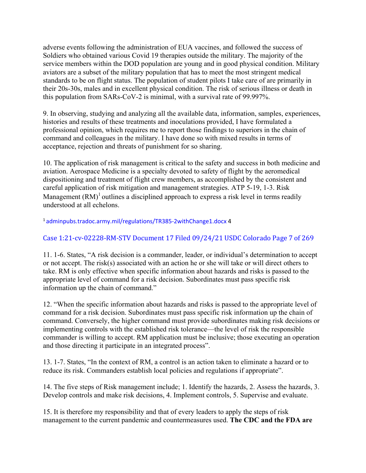adverse events following the administration of EUA vaccines, and followed the success of Soldiers who obtained various Covid 19 therapies outside the military. The majority of the service members within the DOD population are young and in good physical condition. Military aviators are a subset of the military population that has to meet the most stringent medical standards to be on flight status. The population of student pilots I take care of are primarily in their 20s-30s, males and in excellent physical condition. The risk of serious illness or death in this population from SARs-CoV-2 is minimal, with a survival rate of 99.997%.

9. In observing, studying and analyzing all the available data, information, samples, experiences, histories and results of these treatments and inoculations provided, I have formulated a professional opinion, which requires me to report those findings to superiors in the chain of command and colleagues in the military. I have done so with mixed results in terms of acceptance, rejection and threats of punishment for so sharing.

10. The application of risk management is critical to the safety and success in both medicine and aviation. Aerospace Medicine is a specialty devoted to safety of flight by the aeromedical dispositioning and treatment of flight crew members, as accomplished by the consistent and careful application of risk mitigation and management strategies. ATP 5-19, 1-3. Risk Management  $(RM)^1$  outlines a disciplined approach to express a risk level in terms readily understood at all echelons.

# 1 adminpubs.tradoc.army.mil/regulations/TR385-2withChange1.docx 4

# Case 1:21-cv-02228-RM-STV Document 17 Filed 09/24/21 USDC Colorado Page 7 of 269

11. 1-6. States, "A risk decision is a commander, leader, or individual's determination to accept or not accept. The risk(s) associated with an action he or she will take or will direct others to take. RM is only effective when specific information about hazards and risks is passed to the appropriate level of command for a risk decision. Subordinates must pass specific risk information up the chain of command."

12. "When the specific information about hazards and risks is passed to the appropriate level of command for a risk decision. Subordinates must pass specific risk information up the chain of command. Conversely, the higher command must provide subordinates making risk decisions or implementing controls with the established risk tolerance—the level of risk the responsible commander is willing to accept. RM application must be inclusive; those executing an operation and those directing it participate in an integrated process".

13. 1-7. States, "In the context of RM, a control is an action taken to eliminate a hazard or to reduce its risk. Commanders establish local policies and regulations if appropriate".

14. The five steps of Risk management include; 1. Identify the hazards, 2. Assess the hazards, 3. Develop controls and make risk decisions, 4. Implement controls, 5. Supervise and evaluate.

15. It is therefore my responsibility and that of every leaders to apply the steps of risk management to the current pandemic and countermeasures used. **The CDC and the FDA are**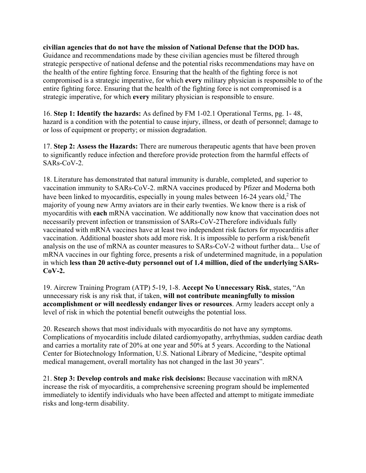**civilian agencies that do not have the mission of National Defense that the DOD has.**  Guidance and recommendations made by these civilian agencies must be filtered through strategic perspective of national defense and the potential risks recommendations may have on the health of the entire fighting force. Ensuring that the health of the fighting force is not compromised is a strategic imperative, for which **every** military physician is responsible to of the entire fighting force. Ensuring that the health of the fighting force is not compromised is a strategic imperative, for which **every** military physician is responsible to ensure.

16. **Step 1: Identify the hazards:** As defined by FM 1-02.1 Operational Terms, pg. 1- 48, hazard is a condition with the potential to cause injury, illness, or death of personnel; damage to or loss of equipment or property; or mission degradation.

17. **Step 2: Assess the Hazards:** There are numerous therapeutic agents that have been proven to significantly reduce infection and therefore provide protection from the harmful effects of SARs-CoV-2.

18. Literature has demonstrated that natural immunity is durable, completed, and superior to vaccination immunity to SARs-CoV-2. mRNA vaccines produced by Pfizer and Moderna both have been linked to myocarditis, especially in young males between  $16-24$  years old,<sup>2</sup> The majority of young new Army aviators are in their early twenties. We know there is a risk of myocarditis with **each** mRNA vaccination. We additionally now know that vaccination does not necessarily prevent infection or transmission of SARs-CoV-2Therefore individuals fully vaccinated with mRNA vaccines have at least two independent risk factors for myocarditis after vaccination. Additional boaster shots add more risk. It is impossible to perform a risk/benefit analysis on the use of mRNA as counter measures to SARs-CoV-2 without further data... Use of mRNA vaccines in our fighting force, presents a risk of undetermined magnitude, in a population in which **less than 20 active-duty personnel out of 1.4 million, died of the underlying SARs-CoV-2.** 

19. Aircrew Training Program (ATP) 5-19, 1-8. **Accept No Unnecessary Risk**, states, "An unnecessary risk is any risk that, if taken, **will not contribute meaningfully to mission accomplishment or will needlessly endanger lives or resources**. Army leaders accept only a level of risk in which the potential benefit outweighs the potential loss.

20. Research shows that most individuals with myocarditis do not have any symptoms. Complications of myocarditis include dilated cardiomyopathy, arrhythmias, sudden cardiac death and carries a mortality rate of 20% at one year and 50% at 5 years. According to the National Center for Biotechnology Information, U.S. National Library of Medicine, "despite optimal medical management, overall mortality has not changed in the last 30 years".

21. **Step 3: Develop controls and make risk decisions:** Because vaccination with mRNA increase the risk of myocarditis, a comprehensive screening program should be implemented immediately to identify individuals who have been affected and attempt to mitigate immediate risks and long-term disability.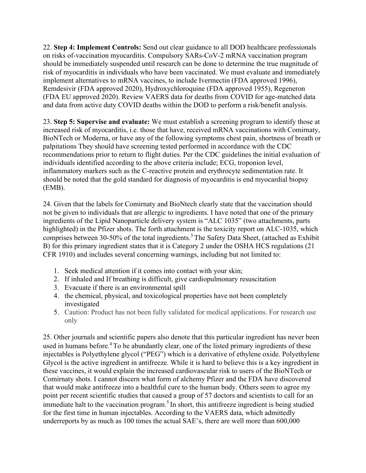22. **Step 4: Implement Controls:** Send out clear guidance to all DOD healthcare professionals on risks of-vaccination myocarditis. Compulsory SARs-CoV-2 mRNA vaccination program should be immediately suspended until research can be done to determine the true magnitude of risk of myocarditis in individuals who have been vaccinated. We must evaluate and immediately implement alternatives to mRNA vaccines, to include Ivermectin (FDA approved 1996), Remdesivir (FDA approved 2020), Hydroxychloroquine (FDA approved 1955), Regeneron (FDA EU approved 2020). Review VAERS data for deaths from COVID for age-matched data and data from active duty COVID deaths within the DOD to perform a risk/benefit analysis.

23. **Step 5: Supervise and evaluate:** We must establish a screening program to identify those at increased risk of myocarditis, i.e. those that have, received mRNA vaccinations with Comirnaty, BioNTech or Moderna, or have any of the following symptoms chest pain, shortness of breath or palpitations They should have screening tested performed in accordance with the CDC recommendations prior to return to flight duties. Per the CDC guidelines the initial evaluation of individuals identified according to the above criteria include; ECG, troponion level, inflammatory markers such as the C-reactive protein and erythrocyte sedimentation rate. It should be noted that the gold standard for diagnosis of myocarditis is end myocardial biopsy (EMB).

24. Given that the labels for Comirnaty and BioNtech clearly state that the vaccination should not be given to individuals that are allergic to ingredients. I have noted that one of the primary ingredients of the Lipid Nanoparticle delivery system is "ALC 1035" (two attachments, parts highlighted) in the Pfizer shots. The forth attachment is the toxicity report on ALC-1035, which comprises between 30-50% of the total ingredients.<sup>3</sup> The Safety Data Sheet, (attached as Exhibit B) for this primary ingredient states that it is Category 2 under the OSHA HCS regulations (21 CFR 1910) and includes several concerning warnings, including but not limited to:

- 1. Seek medical attention if it comes into contact with your skin;
- 2. If inhaled and If breathing is difficult, give cardiopulmonary resuscitation
- 3. Evacuate if there is an environmental spill
- 4. the chemical, physical, and toxicological properties have not been completely investigated
- 5. Caution: Product has not been fully validated for medical applications. For research use only

25. Other journals and scientific papers also denote that this particular ingredient has never been used in humans before.<sup>4</sup> To be abundantly clear, one of the listed primary ingredients of these injectables is Polyethylene glycol ("PEG") which is a derivative of ethylene oxide. Polyethylene Glycol is the active ingredient in antifreeze. While it is hard to believe this is a key ingredient in these vaccines, it would explain the increased cardiovascular risk to users of the BioNTech or Comirnaty shots. I cannot discern what form of alchemy Pfizer and the FDA have discovered that would make antifreeze into a healthful cure to the human body. Others seem to agree my point per recent scientific studies that caused a group of 57 doctors and scientists to call for an immediate halt to the vaccination program.<sup>5</sup> In short, this antifreeze ingredient is being studied for the first time in human injectables. According to the VAERS data, which admittedly underreports by as much as 100 times the actual SAE's, there are well more than 600,000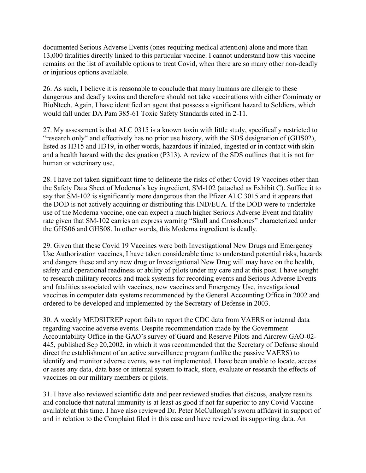documented Serious Adverse Events (ones requiring medical attention) alone and more than 13,000 fatalities directly linked to this particular vaccine. I cannot understand how this vaccine remains on the list of available options to treat Covid, when there are so many other non-deadly or injurious options available.

26. As such, I believe it is reasonable to conclude that many humans are allergic to these dangerous and deadly toxins and therefore should not take vaccinations with either Comirnaty or BioNtech. Again, I have identified an agent that possess a significant hazard to Soldiers, which would fall under DA Pam 385-61 Toxic Safety Standards cited in 2-11.

27. My assessment is that ALC 0315 is a known toxin with little study, specifically restricted to "research only" and effectively has no prior use history, with the SDS designation of (GHS02), listed as H315 and H319, in other words, hazardous if inhaled, ingested or in contact with skin and a health hazard with the designation (P313). A review of the SDS outlines that it is not for human or veterinary use,

28. I have not taken significant time to delineate the risks of other Covid 19 Vaccines other than the Safety Data Sheet of Moderna's key ingredient, SM-102 (attached as Exhibit C). Suffice it to say that SM-102 is significantly more dangerous than the Pfizer ALC 3015 and it appears that the DOD is not actively acquiring or distributing this IND/EUA. If the DOD were to undertake use of the Moderna vaccine, one can expect a much higher Serious Adverse Event and fatality rate given that SM-102 carries an express warning "Skull and Crossbones" characterized under the GHS06 and GHS08. In other words, this Moderna ingredient is deadly.

29. Given that these Covid 19 Vaccines were both Investigational New Drugs and Emergency Use Authorization vaccines, I have taken considerable time to understand potential risks, hazards and dangers these and any new drug or Investigational New Drug will may have on the health, safety and operational readiness or ability of pilots under my care and at this post. I have sought to research military records and track systems for recording events and Serious Adverse Events and fatalities associated with vaccines, new vaccines and Emergency Use, investigational vaccines in computer data systems recommended by the General Accounting Office in 2002 and ordered to be developed and implemented by the Secretary of Defense in 2003.

30. A weekly MEDSITREP report fails to report the CDC data from VAERS or internal data regarding vaccine adverse events. Despite recommendation made by the Government Accountability Office in the GAO's survey of Guard and Reserve Pilots and Aircrew GAO-02- 445, published Sep 20,2002, in which it was recommended that the Secretary of Defense should direct the establishment of an active surveillance program (unlike the passive VAERS) to identify and monitor adverse events, was not implemented. I have been unable to locate, access or asses any data, data base or internal system to track, store, evaluate or research the effects of vaccines on our military members or pilots.

31. I have also reviewed scientific data and peer reviewed studies that discuss, analyze results and conclude that natural immunity is at least as good if not far superior to any Covid Vaccine available at this time. I have also reviewed Dr. Peter McCullough's sworn affidavit in support of and in relation to the Complaint filed in this case and have reviewed its supporting data. An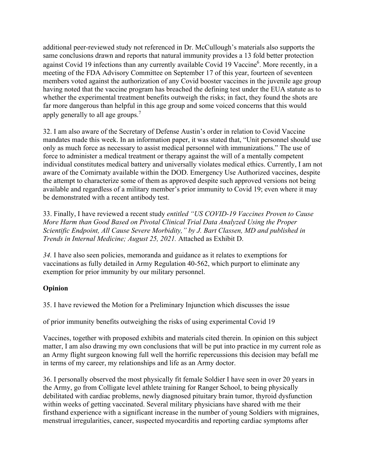additional peer-reviewed study not referenced in Dr. McCullough's materials also supports the same conclusions drawn and reports that natural immunity provides a 13 fold better protection against Covid 19 infections than any currently available Covid 19 Vaccine<sup>6</sup>. More recently, in a meeting of the FDA Advisory Committee on September 17 of this year, fourteen of seventeen members voted against the authorization of any Covid booster vaccines in the juvenile age group having noted that the vaccine program has breached the defining test under the EUA statute as to whether the experimental treatment benefits outweigh the risks; in fact, they found the shots are far more dangerous than helpful in this age group and some voiced concerns that this would apply generally to all age groups.<sup>7</sup>

32. I am also aware of the Secretary of Defense Austin's order in relation to Covid Vaccine mandates made this week. In an information paper, it was stated that, "Unit personnel should use only as much force as necessary to assist medical personnel with immunizations." The use of force to administer a medical treatment or therapy against the will of a mentally competent individual constitutes medical battery and universally violates medical ethics. Currently, I am not aware of the Comirnaty available within the DOD. Emergency Use Authorized vaccines, despite the attempt to characterize some of them as approved despite such approved versions not being available and regardless of a military member's prior immunity to Covid 19; even where it may be demonstrated with a recent antibody test.

33. Finally, I have reviewed a recent study *entitled "US COVID-19 Vaccines Proven to Cause More Harm than Good Based on Pivotal Clinical Trial Data Analyzed Using the Proper Scientific Endpoint, All Cause Severe Morbidity," by J. Bart Classen, MD and published in Trends in Internal Medicine; August 25, 2021.* Attached as Exhibit D.

*34.* I have also seen policies, memoranda and guidance as it relates to exemptions for vaccinations as fully detailed in Army Regulation 40-562, which purport to eliminate any exemption for prior immunity by our military personnel.

# **Opinion**

35. I have reviewed the Motion for a Preliminary Injunction which discusses the issue

of prior immunity benefits outweighing the risks of using experimental Covid 19

Vaccines, together with proposed exhibits and materials cited therein. In opinion on this subject matter, I am also drawing my own conclusions that will be put into practice in my current role as an Army flight surgeon knowing full well the horrific repercussions this decision may befall me in terms of my career, my relationships and life as an Army doctor.

36. I personally observed the most physically fit female Soldier I have seen in over 20 years in the Army, go from Colligate level athlete training for Ranger School, to being physically debilitated with cardiac problems, newly diagnosed pituitary brain tumor, thyroid dysfunction within weeks of getting vaccinated. Several military physicians have shared with me their firsthand experience with a significant increase in the number of young Soldiers with migraines, menstrual irregularities, cancer, suspected myocarditis and reporting cardiac symptoms after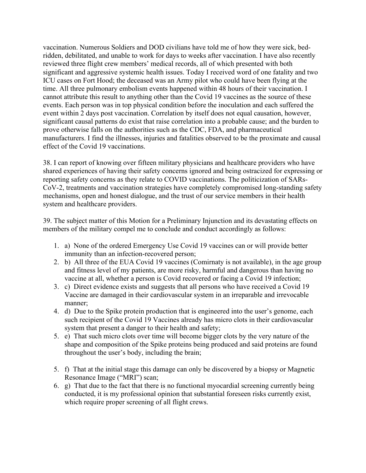vaccination. Numerous Soldiers and DOD civilians have told me of how they were sick, bedridden, debilitated, and unable to work for days to weeks after vaccination. I have also recently reviewed three flight crew members' medical records, all of which presented with both significant and aggressive systemic health issues. Today I received word of one fatality and two ICU cases on Fort Hood; the deceased was an Army pilot who could have been flying at the time. All three pulmonary embolism events happened within 48 hours of their vaccination. I cannot attribute this result to anything other than the Covid 19 vaccines as the source of these events. Each person was in top physical condition before the inoculation and each suffered the event within 2 days post vaccination. Correlation by itself does not equal causation, however, significant causal patterns do exist that raise correlation into a probable cause; and the burden to prove otherwise falls on the authorities such as the CDC, FDA, and pharmaceutical manufacturers. I find the illnesses, injuries and fatalities observed to be the proximate and causal effect of the Covid 19 vaccinations.

38. I can report of knowing over fifteen military physicians and healthcare providers who have shared experiences of having their safety concerns ignored and being ostracized for expressing or reporting safety concerns as they relate to COVID vaccinations. The politicization of SARs-CoV-2, treatments and vaccination strategies have completely compromised long-standing safety mechanisms, open and honest dialogue, and the trust of our service members in their health system and healthcare providers.

39. The subject matter of this Motion for a Preliminary Injunction and its devastating effects on members of the military compel me to conclude and conduct accordingly as follows:

- 1. a) None of the ordered Emergency Use Covid 19 vaccines can or will provide better immunity than an infection-recovered person;
- 2. b) All three of the EUA Covid 19 vaccines (Comirnaty is not available), in the age group and fitness level of my patients, are more risky, harmful and dangerous than having no vaccine at all, whether a person is Covid recovered or facing a Covid 19 infection;
- 3. c) Direct evidence exists and suggests that all persons who have received a Covid 19 Vaccine are damaged in their cardiovascular system in an irreparable and irrevocable manner;
- 4. d) Due to the Spike protein production that is engineered into the user's genome, each such recipient of the Covid 19 Vaccines already has micro clots in their cardiovascular system that present a danger to their health and safety;
- 5. e) That such micro clots over time will become bigger clots by the very nature of the shape and composition of the Spike proteins being produced and said proteins are found throughout the user's body, including the brain;
- 5. f) That at the initial stage this damage can only be discovered by a biopsy or Magnetic Resonance Image ("MRI") scan;
- 6. g) That due to the fact that there is no functional myocardial screening currently being conducted, it is my professional opinion that substantial foreseen risks currently exist, which require proper screening of all flight crews.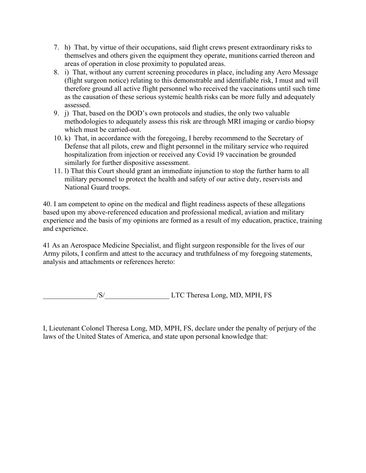- 7. h) That, by virtue of their occupations, said flight crews present extraordinary risks to themselves and others given the equipment they operate, munitions carried thereon and areas of operation in close proximity to populated areas.
- 8. i) That, without any current screening procedures in place, including any Aero Message (flight surgeon notice) relating to this demonstrable and identifiable risk, I must and will therefore ground all active flight personnel who received the vaccinations until such time as the causation of these serious systemic health risks can be more fully and adequately assessed.
- 9. j) That, based on the DOD's own protocols and studies, the only two valuable methodologies to adequately assess this risk are through MRI imaging or cardio biopsy which must be carried-out.
- 10. k) That, in accordance with the foregoing, I hereby recommend to the Secretary of Defense that all pilots, crew and flight personnel in the military service who required hospitalization from injection or received any Covid 19 vaccination be grounded similarly for further dispositive assessment.
- 11. l) That this Court should grant an immediate injunction to stop the further harm to all military personnel to protect the health and safety of our active duty, reservists and National Guard troops.

40. I am competent to opine on the medical and flight readiness aspects of these allegations based upon my above-referenced education and professional medical, aviation and military experience and the basis of my opinions are formed as a result of my education, practice, training and experience.

41 As an Aerospace Medicine Specialist, and flight surgeon responsible for the lives of our Army pilots, I confirm and attest to the accuracy and truthfulness of my foregoing statements, analysis and attachments or references hereto:

\_\_\_\_\_\_\_\_\_\_\_\_\_\_\_/S/\_\_\_\_\_\_\_\_\_\_\_\_\_\_\_\_\_\_ LTC Theresa Long, MD, MPH, FS

I, Lieutenant Colonel Theresa Long, MD, MPH, FS, declare under the penalty of perjury of the laws of the United States of America, and state upon personal knowledge that: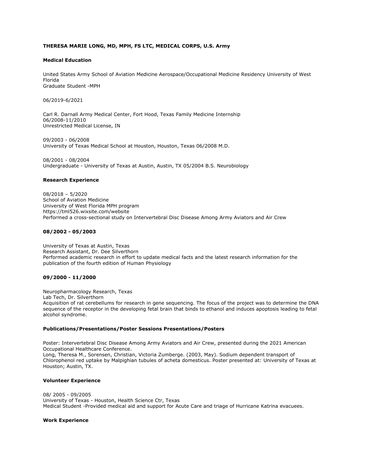# **THERESA MARIE LONG, MD, MPH, FS LTC, MEDICAL CORPS, U.S. Army**

## **Medical Education**

United States Army School of Aviation Medicine Aerospace/Occupational Medicine Residency University of West Florida Graduate Student -MPH

06/2019-6/2021

Carl R. Darnall Army Medical Center, Fort Hood, Texas Family Medicine Internship 06/2008-11/2010 Unrestricted Medical License, IN

09/2003 - 06/2008 University of Texas Medical School at Houston, Houston, Texas 06/2008 M.D.

08/2001 - 08/2004 Undergraduate - University of Texas at Austin, Austin, TX 05/2004 B.S. Neurobiology

## **Research Experience**

08/2018 – 5/2020 School of Aviation Medicine University of West Florida MPH program https://tml526.wixsite.com/website Performed a cross-sectional study on Intervertebral Disc Disease Among Army Aviators and Air Crew

## **08/2002 - 05/2003**

University of Texas at Austin, Texas Research Assistant, Dr. Dee Silverthorn Performed academic research in effort to update medical facts and the latest research information for the publication of the fourth edition of Human Physiology

## **09/2000 - 11/2000**

Neuropharmacology Research, Texas Lab Tech, Dr. Silverthorn Acquisition of rat cerebellums for research in gene sequencing. The focus of the project was to determine the DNA sequence of the receptor in the developing fetal brain that binds to ethanol and induces apoptosis leading to fetal alcohol syndrome.

### **Publications/Presentations/Poster Sessions Presentations/Posters**

Poster: Intervertebral Disc Disease Among Army Aviators and Air Crew, presented during the 2021 American Occupational Healthcare Conference. Long, Theresa M., Sorensen, Christian, Victoria Zumberge. (2003, May). Sodium dependent transport of Chlorophenol red uptake by Malpighian tubules of acheta domesticus. Poster presented at: University of Texas at Houston; Austin, TX.

## **Volunteer Experience**

08/ 2005 - 09/2005 University of Texas - Houston, Health Science Ctr, Texas Medical Student -Provided medical aid and support for Acute Care and triage of Hurricane Katrina evacuees.

### **Work Experience**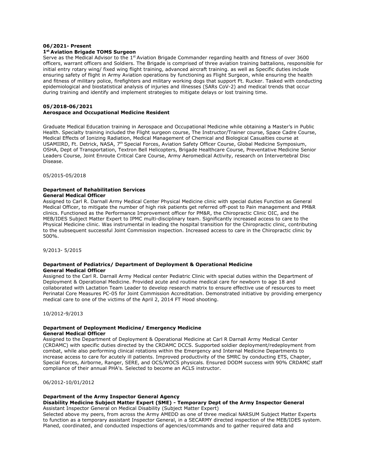### **06/2021- Present 1st Aviation Brigade TOMS Surgeon**

Serve as the Medical Advisor to the  $1<sup>st</sup>$  Aviation Brigade Commander regarding health and fitness of over 3600 officers, warrant officers and Soldiers. The Brigade is comprised of three aviation training battalions, responsible for initial entry rotary wing/ fixed wing flight training, advanced aircraft training. as well as Specific duties include ensuring safety of flight in Army Aviation operations by functioning as Flight Surgeon, while ensuring the health and fitness of military police, firefighters and military working dogs that support Ft. Rucker. Tasked with conducting epidemiological and biostatistical analysis of injuries and illnesses (SARs CoV-2) and medical trends that occur during training and identify and implement strategies to mitigate delays or lost training time.

# **05/2018-06/2021 Aerospace and Occupational Medicine Resident**

Graduate Medical Education training in Aerospace and Occupational Medicine while obtaining a Master's in Public Health. Specialty training included the Flight surgeon course, The Instructor/Trainer course, Space Cadre Course, Medical Effects of Ionizing Radiation, Medical Management of Chemical and Biological Casualties course at USAMIIRD, Ft. Detrick, NASA, 7th Special Forces, Aviation Safety Officer Course, Global Medicine Symposium, OSHA, Dept of Transportation, Textron Bell Helicopters, Brigade Healthcare Course, Preventative Medicine Senior Leaders Course, Joint Enroute Critical Care Course, Army Aeromedical Activity, research on Intervertebral Disc Disease.

05/2015-05/2018

### **Department of Rehabilitation Services General Medical Officer**

Assigned to Carl R. Darnall Army Medical Center Physical Medicine clinic with special duties Function as General Medical Officer, to mitigate the number of high risk patients get referred off-post to Pain management and PM&R clinics. Functioned as the Performance Improvement officer for PM&R, the Chiropractic Clinic OIC, and the MEB/IDES Subject Matter Expert to IPMC multi-disciplinary team. Significantly increased access to care to the Physical Medicine clinic. Was instrumental in leading the hospital transition for the Chiropractic clinic, contributing to the subsequent successful Joint Commission inspection. Increased access to care in the Chiropractic clinic by 500%.

9/2013- 5/2015

## **Department of Pediatrics/ Department of Deployment & Operational Medicine General Medical Officer**

Assigned to the Carl R. Darnall Army Medical center Pediatric Clinic with special duties within the Department of Deployment & Operational Medicine. Provided acute and routine medical care for newborn to age 18 and collaborated with Lactation Team Leader to develop research matrix to ensure effective use of resources to meet Perinatal Core Measures PC-05 for Joint Commission Accreditation. Demonstrated initiative by providing emergency medical care to one of the victims of the April 2, 2014 FT Hood shooting.

10/2012-9/2013

## **Department of Deployment Medicine/ Emergency Medicine General Medical Officer**

Assigned to the Department of Deployment & Operational Medicine at Carl R Darnall Army Medical Center (CRDAMC) with specific duties directed by the CRDAMC DCCS. Supported soldier deployment/redeployment from combat, while also performing clinical rotations within the Emergency and Internal Medicine Departments to increase access to care for acutely ill patients. Improved productivity of the SMRC by conducting ETS, Chapter, Special Forces, Airborne, Ranger, SERE, and OCS/WOCS physicals. Ensured DODM success with 90% CRDAMC staff compliance of their annual PHA's. Selected to become an ACLS instructor.

06/2012-10/01/2012

# **Department of the Army Inspector General Agency**

#### **Disability Medicine Subject Matter Expert (SME) - Temporary Dept of the Army Inspector General** Assistant Inspector General on Medical Disability (Subject Matter Expert)

Selected above my peers, from across the Army AMEDD as one of three medical NARSUM Subject Matter Experts to function as a temporary assistant Inspector General, in a SECARMY directed inspection of the MEB/IDES system. Planed, coordinated, and conducted inspections of agencies/commands and to gather required data and